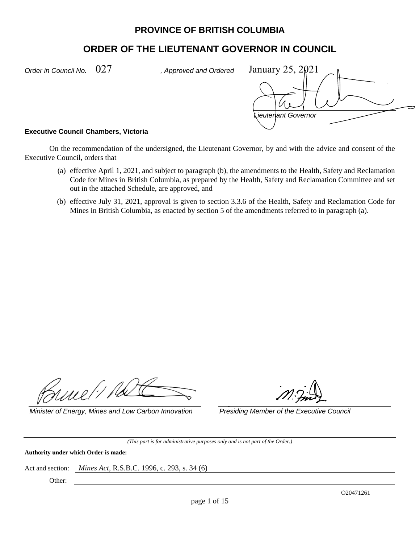# **PROVINCE OF BRITISH COLUMBIA**

# **ORDER OF THE LIEUTENANT GOVERNOR IN COUNCIL**

*Order in Council No.*  $027$  , Approved and Ordered

*Lieutenant Governor*  January 25, 2021

## **Executive Council Chambers, Victoria**

On the recommendation of the undersigned, the Lieutenant Governor, by and with the advice and consent of the Executive Council, orders that

- (a) effective April 1, 2021, and subject to paragraph (b), the amendments to the Health, Safety and Reclamation Code for Mines in British Columbia, as prepared by the Health, Safety and Reclamation Committee and set out in the attached Schedule, are approved, and
- (b) effective July 31, 2021, approval is given to section 3.3.6 of the Health, Safety and Reclamation Code for Mines in British Columbia, as enacted by section 5 of the amendments referred to in paragraph (a).

nmel:1.

*Minister of Energy, Mines and Low Carbon Innovation Presiding Member of the Executive Council* 

*(This part is for administrative purposes only and is not part of the Order.)* 

**Authority under which Order is made:** 

Act and section: *Mines Act,* R.S.B.C. 1996, c. 293, s. 34 (6)

Other: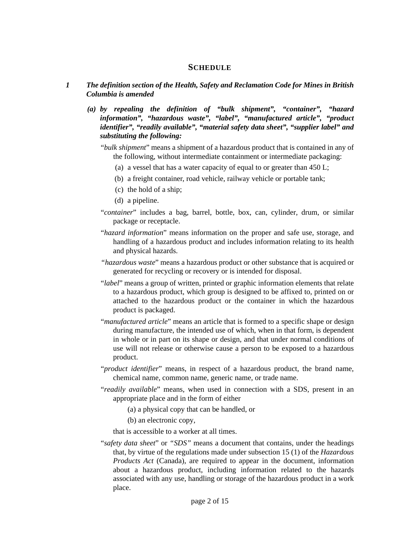# **SCHEDULE**

# *1 The definition section of the Health, Safety and Reclamation Code for Mines in British Columbia is amended*

 *(a) by repealing the definition of "bulk shipment", "container", "hazard information", "hazardous waste", "label", "manufactured article", "product identifier", "readily available", "material safety data sheet", "supplier label" and substituting the following:* 

- (a) a vessel that has a water capacity of equal to or greater than 450 L;
- (b) a freight container, road vehicle, railway vehicle or portable tank;
- (c) the hold of a ship;
- (d) a pipeline.
- "*container*" includes a bag, barrel, bottle, box, can, cylinder, drum, or similar package or receptacle.
- "*hazard information*" means information on the proper and safe use, storage, and handling of a hazardous product and includes information relating to its health and physical hazards.
- *"hazardous waste*" means a hazardous product or other substance that is acquired or generated for recycling or recovery or is intended for disposal.
- "*label*" means a group of written, printed or graphic information elements that relate to a hazardous product, which group is designed to be affixed to, printed on or attached to the hazardous product or the container in which the hazardous product is packaged.
- "*manufactured article*" means an article that is formed to a specific shape or design during manufacture, the intended use of which, when in that form, is dependent in whole or in part on its shape or design, and that under normal conditions of use will not release or otherwise cause a person to be exposed to a hazardous product.
- "*product identifier*" means, in respect of a hazardous product, the brand name, chemical name, common name, generic name, or trade name.
- "*readily available*" means, when used in connection with a SDS, present in an appropriate place and in the form of either
	- (a) a physical copy that can be handled, or
	- (b) an electronic copy,
	- that is accessible to a worker at all times.
- "*safety data sheet*" or *"SDS"* means a document that contains, under the headings that, by virtue of the regulations made under subsection 15 (1) of the *Hazardous Products Act* (Canada), are required to appear in the document, information about a hazardous product, including information related to the hazards associated with any use, handling or storage of the hazardous product in a work place.

<sup>&</sup>quot;*bulk shipment*" means a shipment of a hazardous product that is contained in any of the following, without intermediate containment or intermediate packaging: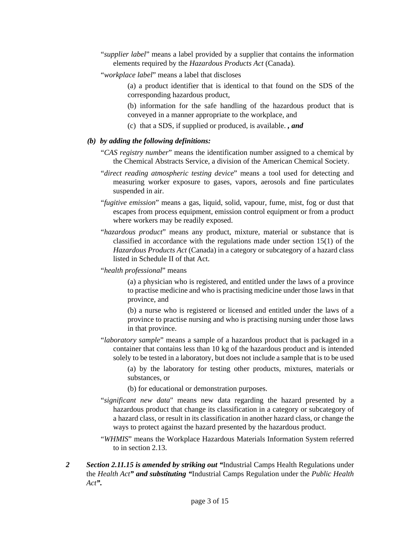- "*supplier label*" means a label provided by a supplier that contains the information elements required by the *Hazardous Products Act* (Canada).
- "*workplace label*" means a label that discloses
	- (a) a product identifier that is identical to that found on the SDS of the corresponding hazardous product,
	- (b) information for the safe handling of the hazardous product that is conveyed in a manner appropriate to the workplace, and
	- (c) that a SDS, if supplied or produced, is available. *, and*

# *(b) by adding the following definitions:*

- "*CAS registry number*" means the identification number assigned to a chemical by the Chemical Abstracts Service, a division of the American Chemical Society.
- "*direct reading atmospheric testing device*" means a tool used for detecting and measuring worker exposure to gases, vapors, aerosols and fine particulates suspended in air.
- "*fugitive emission*" means a gas, liquid, solid, vapour, fume, mist, fog or dust that escapes from process equipment, emission control equipment or from a product where workers may be readily exposed.
- "*hazardous product*" means any product, mixture, material or substance that is classified in accordance with the regulations made under section 15(1) of the *Hazardous Products Act* (Canada) in a category or subcategory of a hazard class listed in Schedule II of that Act.
- "*health professional*" means

(a) a physician who is registered, and entitled under the laws of a province to practise medicine and who is practising medicine under those laws in that province, and

(b) a nurse who is registered or licensed and entitled under the laws of a province to practise nursing and who is practising nursing under those laws in that province.

- "*laboratory sample*" means a sample of a hazardous product that is packaged in a container that contains less than 10 kg of the hazardous product and is intended solely to be tested in a laboratory, but does not include a sample that is to be used
	- (a) by the laboratory for testing other products, mixtures, materials or substances, or
	- (b) for educational or demonstration purposes.
- "*significant new data*" means new data regarding the hazard presented by a hazardous product that change its classification in a category or subcategory of a hazard class, or result in its classification in another hazard class, or change the ways to protect against the hazard presented by the hazardous product.
- "*WHMIS*" means the Workplace Hazardous Materials Information System referred to in section 2.13.
- *2 Section 2.11.15 is amended by striking out "*Industrial Camps Health Regulations under the *Health Act" and substituting "*Industrial Camps Regulation under the *Public Health Act".*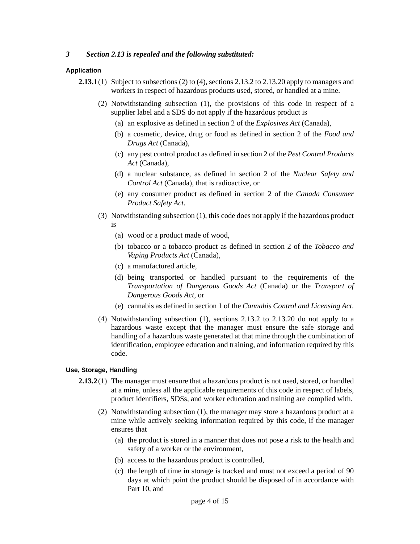# *3 Section 2.13 is repealed and the following substituted:*

## **Application**

- (2) Notwithstanding subsection (1), the provisions of this code in respect of a supplier label and a SDS do not apply if the hazardous product is
	- (a) an explosive as defined in section 2 of the *Explosives Act* (Canada),
	- (b) a cosmetic, device, drug or food as defined in section 2 of the *Food and Drugs Act* (Canada),
	- (c) any pest control product as defined in section 2 of the *Pest Control Products Act* (Canada),
	- (d) a nuclear substance, as defined in section 2 of the *Nuclear Safety and Control Act* (Canada), that is radioactive, or
	- (e) any consumer product as defined in section 2 of the *Canada Consumer Product Safety Act*.
- (3) Notwithstanding subsection (1), this code does not apply if the hazardous product is
	- (a) wood or a product made of wood,
	- (b) tobacco or a tobacco product as defined in section 2 of the *Tobacco and Vaping Products Act* (Canada),
	- (c) a manufactured article,
	- (d) being transported or handled pursuant to the requirements of the *Transportation of Dangerous Goods Act* (Canada) or the *Transport of Dangerous Goods Act*, or
	- (e) cannabis as defined in section 1 of the *Cannabis Control and Licensing Act*.
- (4) Notwithstanding subsection (1), sections 2.13.2 to 2.13.20 do not apply to a hazardous waste except that the manager must ensure the safe storage and handling of a hazardous waste generated at that mine through the combination of identification, employee education and training, and information required by this code.

## **Use, Storage, Handling**

- **2.13.2** (1) The manager must ensure that a hazardous product is not used, stored, or handled at a mine, unless all the applicable requirements of this code in respect of labels, product identifiers, SDSs, and worker education and training are complied with.
	- (2) Notwithstanding subsection (1), the manager may store a hazardous product at a mine while actively seeking information required by this code, if the manager ensures that
		- (a) the product is stored in a manner that does not pose a risk to the health and safety of a worker or the environment,
		- (b) access to the hazardous product is controlled,
		- (c) the length of time in storage is tracked and must not exceed a period of 90 days at which point the product should be disposed of in accordance with Part 10, and

**<sup>2.13.1</sup>** (1) Subject to subsections (2) to (4), sections 2.13.2 to 2.13.20 apply to managers and workers in respect of hazardous products used, stored, or handled at a mine.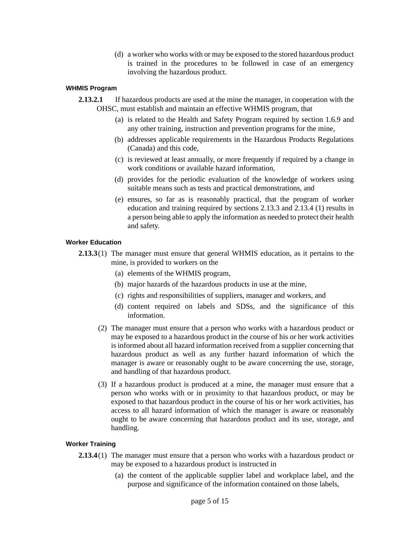(d) a worker who works with or may be exposed to the stored hazardous product is trained in the procedures to be followed in case of an emergency involving the hazardous product.

## **WHMIS Program**

- **2.13.2.1** If hazardous products are used at the mine the manager, in cooperation with the OHSC, must establish and maintain an effective WHMIS program, that
	- (a) is related to the Health and Safety Program required by section 1.6.9 and any other training, instruction and prevention programs for the mine,
	- (b) addresses applicable requirements in the Hazardous Products Regulations (Canada) and this code,
	- (c) is reviewed at least annually, or more frequently if required by a change in work conditions or available hazard information,
	- (d) provides for the periodic evaluation of the knowledge of workers using suitable means such as tests and practical demonstrations, and
	- (e) ensures, so far as is reasonably practical, that the program of worker education and training required by sections 2.13.3 and 2.13.4 (1) results in a person being able to apply the information as needed to protect their health and safety.

## **Worker Education**

- **2.13.3** (1) The manager must ensure that general WHMIS education, as it pertains to the mine, is provided to workers on the
	- (a) elements of the WHMIS program,
	- (b) major hazards of the hazardous products in use at the mine,
	- (c) rights and responsibilities of suppliers, manager and workers, and
	- (d) content required on labels and SDSs, and the significance of this information.
	- (2) The manager must ensure that a person who works with a hazardous product or may be exposed to a hazardous product in the course of his or her work activities is informed about all hazard information received from a supplier concerning that hazardous product as well as any further hazard information of which the manager is aware or reasonably ought to be aware concerning the use, storage, and handling of that hazardous product.
	- (3) If a hazardous product is produced at a mine, the manager must ensure that a person who works with or in proximity to that hazardous product, or may be exposed to that hazardous product in the course of his or her work activities, has access to all hazard information of which the manager is aware or reasonably ought to be aware concerning that hazardous product and its use, storage, and handling.

## **Worker Training**

- **2.13.4** (1) The manager must ensure that a person who works with a hazardous product or may be exposed to a hazardous product is instructed in
	- (a) the content of the applicable supplier label and workplace label, and the purpose and significance of the information contained on those labels,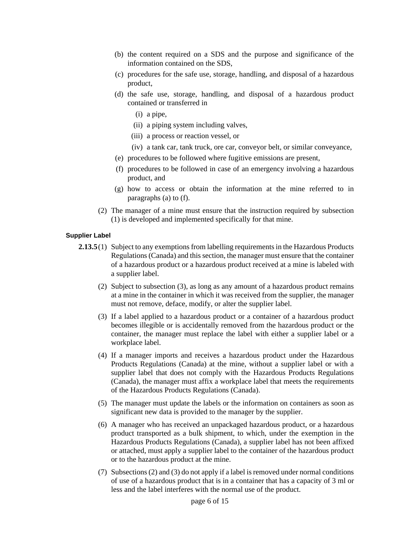- (b) the content required on a SDS and the purpose and significance of the information contained on the SDS,
- (c) procedures for the safe use, storage, handling, and disposal of a hazardous product,
- (d) the safe use, storage, handling, and disposal of a hazardous product contained or transferred in
	- (i) a pipe,
	- (ii) a piping system including valves,
	- (iii) a process or reaction vessel, or
	- (iv) a tank car, tank truck, ore car, conveyor belt, or similar conveyance,
- (e) procedures to be followed where fugitive emissions are present,
- (f) procedures to be followed in case of an emergency involving a hazardous product, and
- (g) how to access or obtain the information at the mine referred to in paragraphs (a) to (f).
- (2) The manager of a mine must ensure that the instruction required by subsection (1) is developed and implemented specifically for that mine.

#### **Supplier Label**

- **2.13.5** (1) Subject to any exemptions from labelling requirements in the Hazardous Products Regulations (Canada) and this section, the manager must ensure that the container of a hazardous product or a hazardous product received at a mine is labeled with a supplier label.
	- (2) Subject to subsection (3), as long as any amount of a hazardous product remains at a mine in the container in which it was received from the supplier, the manager must not remove, deface, modify, or alter the supplier label.
	- (3) If a label applied to a hazardous product or a container of a hazardous product becomes illegible or is accidentally removed from the hazardous product or the container, the manager must replace the label with either a supplier label or a workplace label.
	- (4) If a manager imports and receives a hazardous product under the Hazardous Products Regulations (Canada) at the mine, without a supplier label or with a supplier label that does not comply with the Hazardous Products Regulations (Canada), the manager must affix a workplace label that meets the requirements of the Hazardous Products Regulations (Canada).
	- (5) The manager must update the labels or the information on containers as soon as significant new data is provided to the manager by the supplier.
	- (6) A manager who has received an unpackaged hazardous product, or a hazardous product transported as a bulk shipment, to which, under the exemption in the Hazardous Products Regulations (Canada), a supplier label has not been affixed or attached, must apply a supplier label to the container of the hazardous product or to the hazardous product at the mine.
	- (7) Subsections (2) and (3) do not apply if a label is removed under normal conditions of use of a hazardous product that is in a container that has a capacity of 3 ml or less and the label interferes with the normal use of the product.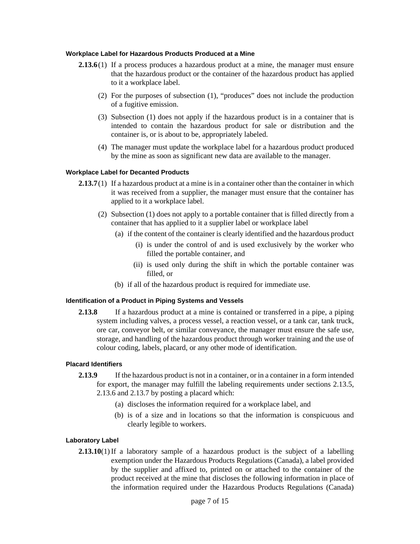### **Workplace Label for Hazardous Products Produced at a Mine**

- **2.13.6**(1) If a process produces a hazardous product at a mine, the manager must ensure that the hazardous product or the container of the hazardous product has applied to it a workplace label.
	- (2) For the purposes of subsection (1), "produces" does not include the production of a fugitive emission.
	- (3) Subsection (1) does not apply if the hazardous product is in a container that is intended to contain the hazardous product for sale or distribution and the container is, or is about to be, appropriately labeled.
	- (4) The manager must update the workplace label for a hazardous product produced by the mine as soon as significant new data are available to the manager.

#### **Workplace Label for Decanted Products**

- **2.13.7** (1) If a hazardous product at a mine is in a container other than the container in which it was received from a supplier, the manager must ensure that the container has applied to it a workplace label.
	- (2) Subsection (1) does not apply to a portable container that is filled directly from a container that has applied to it a supplier label or workplace label
		- (a) if the content of the container is clearly identified and the hazardous product
			- (i) is under the control of and is used exclusively by the worker who filled the portable container, and
			- (ii) is used only during the shift in which the portable container was filled, or
		- (b) if all of the hazardous product is required for immediate use.

#### **Identification of a Product in Piping Systems and Vessels**

**2.13.8** If a hazardous product at a mine is contained or transferred in a pipe, a piping system including valves, a process vessel, a reaction vessel, or a tank car, tank truck, ore car, conveyor belt, or similar conveyance, the manager must ensure the safe use, storage, and handling of the hazardous product through worker training and the use of colour coding, labels, placard, or any other mode of identification.

#### **Placard Identifiers**

- **2.13.9** If the hazardous product is not in a container, or in a container in a form intended for export, the manager may fulfill the labeling requirements under sections 2.13.5, 2.13.6 and 2.13.7 by posting a placard which:
	- (a) discloses the information required for a workplace label, and
	- (b) is of a size and in locations so that the information is conspicuous and clearly legible to workers.

#### **Laboratory Label**

**2.13.10**(1) If a laboratory sample of a hazardous product is the subject of a labelling exemption under the Hazardous Products Regulations (Canada), a label provided by the supplier and affixed to, printed on or attached to the container of the product received at the mine that discloses the following information in place of the information required under the Hazardous Products Regulations (Canada)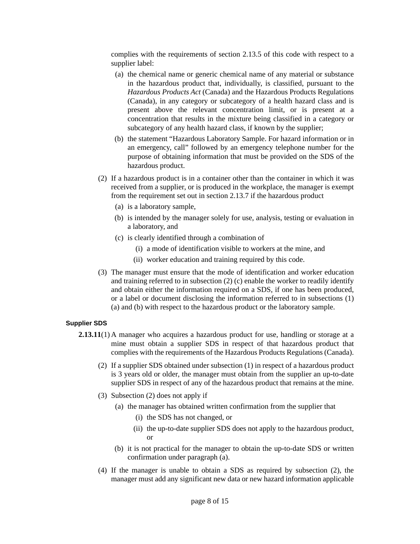complies with the requirements of section 2.13.5 of this code with respect to a supplier label:

- (a) the chemical name or generic chemical name of any material or substance in the hazardous product that, individually, is classified, pursuant to the *Hazardous Products Act* (Canada) and the Hazardous Products Regulations (Canada), in any category or subcategory of a health hazard class and is present above the relevant concentration limit, or is present at a concentration that results in the mixture being classified in a category or subcategory of any health hazard class, if known by the supplier;
- (b) the statement "Hazardous Laboratory Sample. For hazard information or in an emergency, call" followed by an emergency telephone number for the purpose of obtaining information that must be provided on the SDS of the hazardous product.
- (2) If a hazardous product is in a container other than the container in which it was received from a supplier, or is produced in the workplace, the manager is exempt from the requirement set out in section 2.13.7 if the hazardous product
	- (a) is a laboratory sample,
	- (b) is intended by the manager solely for use, analysis, testing or evaluation in a laboratory, and
	- (c) is clearly identified through a combination of
		- (i) a mode of identification visible to workers at the mine, and
		- (ii) worker education and training required by this code.
- (3) The manager must ensure that the mode of identification and worker education and training referred to in subsection (2) (c) enable the worker to readily identify and obtain either the information required on a SDS, if one has been produced, or a label or document disclosing the information referred to in subsections (1) (a) and (b) with respect to the hazardous product or the laboratory sample.

## **Supplier SDS**

- **2.13.11**(1) A manager who acquires a hazardous product for use, handling or storage at a mine must obtain a supplier SDS in respect of that hazardous product that complies with the requirements of the Hazardous Products Regulations (Canada).
	- (2) If a supplier SDS obtained under subsection (1) in respect of a hazardous product is 3 years old or older, the manager must obtain from the supplier an up-to-date supplier SDS in respect of any of the hazardous product that remains at the mine.
	- (3) Subsection (2) does not apply if
		- (a) the manager has obtained written confirmation from the supplier that
			- (i) the SDS has not changed, or
			- (ii) the up-to-date supplier SDS does not apply to the hazardous product, or
		- (b) it is not practical for the manager to obtain the up-to-date SDS or written confirmation under paragraph (a).
	- (4) If the manager is unable to obtain a SDS as required by subsection (2), the manager must add any significant new data or new hazard information applicable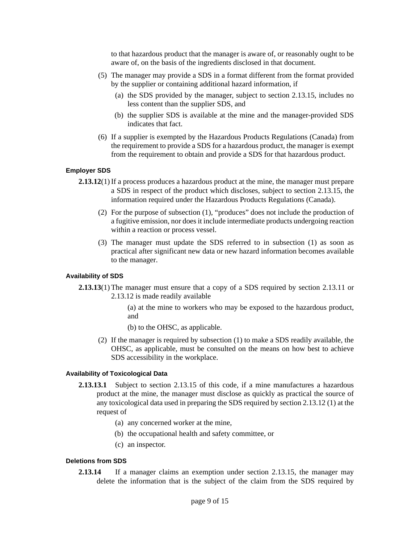to that hazardous product that the manager is aware of, or reasonably ought to be aware of, on the basis of the ingredients disclosed in that document.

- (5) The manager may provide a SDS in a format different from the format provided by the supplier or containing additional hazard information, if
	- (a) the SDS provided by the manager, subject to section 2.13.15, includes no less content than the supplier SDS, and
	- (b) the supplier SDS is available at the mine and the manager-provided SDS indicates that fact.
- (6) If a supplier is exempted by the Hazardous Products Regulations (Canada) from the requirement to provide a SDS for a hazardous product, the manager is exempt from the requirement to obtain and provide a SDS for that hazardous product.

## **Employer SDS**

- **2.13.12**(1) If a process produces a hazardous product at the mine, the manager must prepare a SDS in respect of the product which discloses, subject to section 2.13.15, the information required under the Hazardous Products Regulations (Canada).
	- (2) For the purpose of subsection (1), "produces" does not include the production of a fugitive emission, nor does it include intermediate products undergoing reaction within a reaction or process vessel.
	- (3) The manager must update the SDS referred to in subsection (1) as soon as practical after significant new data or new hazard information becomes available to the manager.

## **Availability of SDS**

- **2.13.13**(1) The manager must ensure that a copy of a SDS required by section 2.13.11 or 2.13.12 is made readily available
	- (a) at the mine to workers who may be exposed to the hazardous product, and
	- (b) to the OHSC, as applicable.
	- (2) If the manager is required by subsection (1) to make a SDS readily available, the OHSC, as applicable, must be consulted on the means on how best to achieve SDS accessibility in the workplace.

#### **Availability of Toxicological Data**

- **2.13.13.1** Subject to section 2.13.15 of this code, if a mine manufactures a hazardous product at the mine, the manager must disclose as quickly as practical the source of any toxicological data used in preparing the SDS required by section 2.13.12 (1) at the request of
	- (a) any concerned worker at the mine,
	- (b) the occupational health and safety committee, or
	- (c) an inspector.

#### **Deletions from SDS**

**2.13.14** If a manager claims an exemption under section 2.13.15, the manager may delete the information that is the subject of the claim from the SDS required by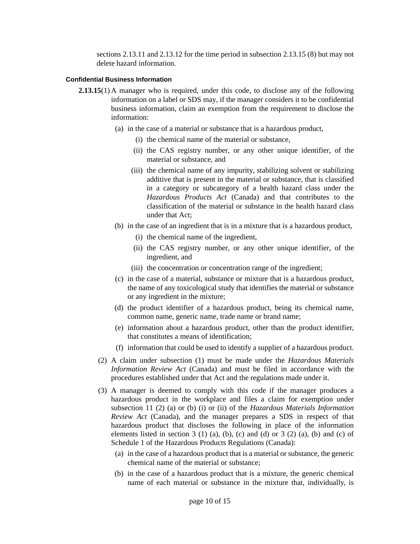sections 2.13.11 and 2.13.12 for the time period in subsection 2.13.15 (8) but may not delete hazard information.

#### **Confidential Business Information**

- **2.13.15**(1) A manager who is required, under this code, to disclose any of the following information on a label or SDS may, if the manager considers it to be confidential business information, claim an exemption from the requirement to disclose the information:
	- (a) in the case of a material or substance that is a hazardous product,
		- (i) the chemical name of the material or substance,
		- (ii) the CAS registry number, or any other unique identifier, of the material or substance, and
		- (iii) the chemical name of any impurity, stabilizing solvent or stabilizing additive that is present in the material or substance, that is classified in a category or subcategory of a health hazard class under the *Hazardous Products Act* (Canada) and that contributes to the classification of the material or substance in the health hazard class under that Act;
	- (b) in the case of an ingredient that is in a mixture that is a hazardous product,
		- (i) the chemical name of the ingredient,
		- (ii) the CAS registry number, or any other unique identifier, of the ingredient, and
		- (iii) the concentration or concentration range of the ingredient;
	- (c) in the case of a material, substance or mixture that is a hazardous product, the name of any toxicological study that identifies the material or substance or any ingredient in the mixture;
	- (d) the product identifier of a hazardous product, being its chemical name, common name, generic name, trade name or brand name;
	- (e) information about a hazardous product, other than the product identifier, that constitutes a means of identification;
	- (f) information that could be used to identify a supplier of a hazardous product.
	- (2) A claim under subsection (1) must be made under the *Hazardous Materials Information Review Act* (Canada) and must be filed in accordance with the procedures established under that Act and the regulations made under it.
	- (3) A manager is deemed to comply with this code if the manager produces a hazardous product in the workplace and files a claim for exemption under subsection 11 (2) (a) or (b) (i) or (ii) of the *Hazardous Materials Information Review Act* (Canada), and the manager prepares a SDS in respect of that hazardous product that discloses the following in place of the information elements listed in section 3 (1) (a), (b), (c) and (d) or 3 (2) (a), (b) and (c) of Schedule 1 of the Hazardous Products Regulations (Canada):
		- (a) in the case of a hazardous product that is a material or substance, the generic chemical name of the material or substance;
		- (b) in the case of a hazardous product that is a mixture, the generic chemical name of each material or substance in the mixture that, individually, is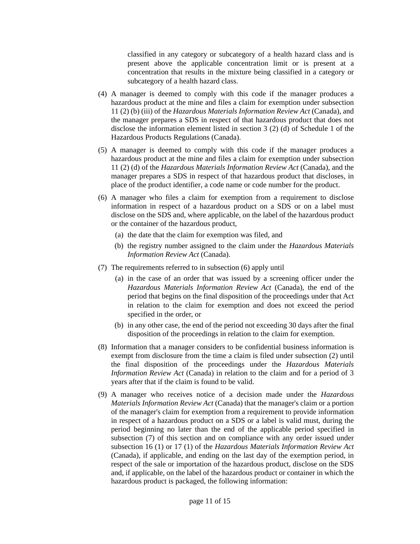classified in any category or subcategory of a health hazard class and is present above the applicable concentration limit or is present at a concentration that results in the mixture being classified in a category or subcategory of a health hazard class.

- (4) A manager is deemed to comply with this code if the manager produces a hazardous product at the mine and files a claim for exemption under subsection 11 (2) (b) (iii) of the *Hazardous Materials Information Review Act* (Canada), and the manager prepares a SDS in respect of that hazardous product that does not disclose the information element listed in section 3 (2) (d) of Schedule 1 of the Hazardous Products Regulations (Canada).
- (5) A manager is deemed to comply with this code if the manager produces a hazardous product at the mine and files a claim for exemption under subsection 11 (2) (d) of the *Hazardous Materials Information Review Act* (Canada), and the manager prepares a SDS in respect of that hazardous product that discloses, in place of the product identifier, a code name or code number for the product.
- (6) A manager who files a claim for exemption from a requirement to disclose information in respect of a hazardous product on a SDS or on a label must disclose on the SDS and, where applicable, on the label of the hazardous product or the container of the hazardous product,
	- (a) the date that the claim for exemption was filed, and
	- (b) the registry number assigned to the claim under the *Hazardous Materials Information Review Act* (Canada).
- (7) The requirements referred to in subsection (6) apply until
	- (a) in the case of an order that was issued by a screening officer under the *Hazardous Materials Information Review Act* (Canada), the end of the period that begins on the final disposition of the proceedings under that Act in relation to the claim for exemption and does not exceed the period specified in the order, or
	- (b) in any other case, the end of the period not exceeding 30 days after the final disposition of the proceedings in relation to the claim for exemption.
- (8) Information that a manager considers to be confidential business information is exempt from disclosure from the time a claim is filed under subsection (2) until the final disposition of the proceedings under the *Hazardous Materials Information Review Act (Canada)* in relation to the claim and for a period of 3 years after that if the claim is found to be valid.
- (9) A manager who receives notice of a decision made under the *Hazardous Materials Information Review Act* (Canada) that the manager's claim or a portion of the manager's claim for exemption from a requirement to provide information in respect of a hazardous product on a SDS or a label is valid must, during the period beginning no later than the end of the applicable period specified in subsection (7) of this section and on compliance with any order issued under subsection 16 (1) or 17 (1) of the *Hazardous Materials Information Review Act*  (Canada), if applicable, and ending on the last day of the exemption period, in respect of the sale or importation of the hazardous product, disclose on the SDS and, if applicable, on the label of the hazardous product or container in which the hazardous product is packaged, the following information: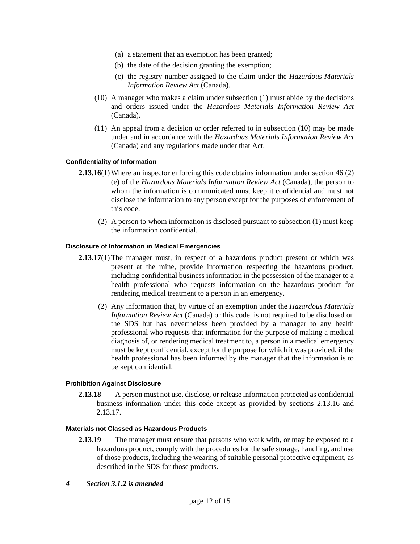- (a) a statement that an exemption has been granted;
- (b) the date of the decision granting the exemption;
- (c) the registry number assigned to the claim under the *Hazardous Materials Information Review Act* (Canada).
- (10) A manager who makes a claim under subsection (1) must abide by the decisions and orders issued under the *Hazardous Materials Information Review Act* (Canada).
- (11) An appeal from a decision or order referred to in subsection (10) may be made under and in accordance with the *Hazardous Materials Information Review Act* (Canada) and any regulations made under that Act.

# **Confidentiality of Information**

- **2.13.16**(1) Where an inspector enforcing this code obtains information under section 46 (2) (e) of the *Hazardous Materials Information Review Act* (Canada), the person to whom the information is communicated must keep it confidential and must not disclose the information to any person except for the purposes of enforcement of this code.
	- (2) A person to whom information is disclosed pursuant to subsection (1) must keep the information confidential.

## **Disclosure of Information in Medical Emergencies**

- **2.13.17**(1) The manager must, in respect of a hazardous product present or which was present at the mine, provide information respecting the hazardous product, including confidential business information in the possession of the manager to a health professional who requests information on the hazardous product for rendering medical treatment to a person in an emergency.
	- (2) Any information that, by virtue of an exemption under the *Hazardous Materials Information Review Act* (Canada) or this code, is not required to be disclosed on the SDS but has nevertheless been provided by a manager to any health professional who requests that information for the purpose of making a medical diagnosis of, or rendering medical treatment to, a person in a medical emergency must be kept confidential, except for the purpose for which it was provided, if the health professional has been informed by the manager that the information is to be kept confidential.

## **Prohibition Against Disclosure**

**2.13.18** A person must not use, disclose, or release information protected as confidential business information under this code except as provided by sections 2.13.16 and 2.13.17.

## **Materials not Classed as Hazardous Products**

- **2.13.19** The manager must ensure that persons who work with, or may be exposed to a hazardous product, comply with the procedures for the safe storage, handling, and use of those products, including the wearing of suitable personal protective equipment, as described in the SDS for those products.
- *4 Section 3.1.2 is amended*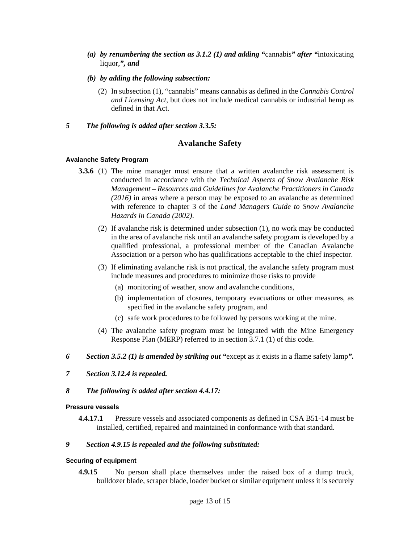- *(a) by renumbering the section as 3.1.2 (1) and adding "*cannabis*" after "*intoxicating liquor,*", and*
- *(b) by adding the following subsection:* 
	- (2) In subsection (1), "cannabis" means cannabis as defined in the *Cannabis Control and Licensing Act*, but does not include medical cannabis or industrial hemp as defined in that Act.
- *5 The following is added after section 3.3.5:*

# **Avalanche Safety**

## **Avalanche Safety Program**

- **3.3.6** (1) The mine manager must ensure that a written avalanche risk assessment is conducted in accordance with the *Technical Aspects of Snow Avalanche Risk Management – Resources and Guidelines for Avalanche Practitioners in Canada (2016)* in areas where a person may be exposed to an avalanche as determined with reference to chapter 3 of the *Land Managers Guide to Snow Avalanche Hazards in Canada (2002)*.
	- (2) If avalanche risk is determined under subsection (1), no work may be conducted in the area of avalanche risk until an avalanche safety program is developed by a qualified professional, a professional member of the Canadian Avalanche Association or a person who has qualifications acceptable to the chief inspector.
	- (3) If eliminating avalanche risk is not practical, the avalanche safety program must include measures and procedures to minimize those risks to provide
		- (a) monitoring of weather, snow and avalanche conditions,
		- (b) implementation of closures, temporary evacuations or other measures, as specified in the avalanche safety program, and
		- (c) safe work procedures to be followed by persons working at the mine.
	- (4) The avalanche safety program must be integrated with the Mine Emergency Response Plan (MERP) referred to in section 3.7.1 (1) of this code.
- *6 Section 3.5.2 (1) is amended by striking out "*except as it exists in a flame safety lamp*".*
- *7 Section 3.12.4 is repealed.*
- *8 The following is added after section 4.4.17:*

## **Pressure vessels**

**4.4.17.1** Pressure vessels and associated components as defined in CSA B51-14 must be installed, certified, repaired and maintained in conformance with that standard.

# *9 Section 4.9.15 is repealed and the following substituted:*

## **Securing of equipment**

**4.9.15** No person shall place themselves under the raised box of a dump truck, bulldozer blade, scraper blade, loader bucket or similar equipment unless it is securely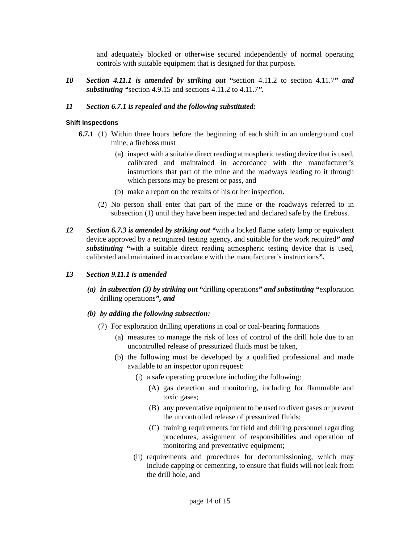and adequately blocked or otherwise secured independently of normal operating controls with suitable equipment that is designed for that purpose.

*10 Section 4.11.1 is amended by striking out "*section 4.11.2 to section 4.11.7*" and substituting "*section 4.9.15 and sections 4.11.2 to 4.11.7*".* 

# *11 Section 6.7.1 is repealed and the following substituted:*

# **Shift Inspections**

- **6.7.1** (1) Within three hours before the beginning of each shift in an underground coal mine, a fireboss must
	- (a) inspect with a suitable direct reading atmospheric testing device that is used, calibrated and maintained in accordance with the manufacturer's instructions that part of the mine and the roadways leading to it through which persons may be present or pass, and
	- (b) make a report on the results of his or her inspection.
	- (2) No person shall enter that part of the mine or the roadways referred to in subsection (1) until they have been inspected and declared safe by the fireboss.
- *12 Section 6.7.3 is amended by striking out "*with a locked flame safety lamp or equivalent device approved by a recognized testing agency, and suitable for the work required*" and substituting "*with a suitable direct reading atmospheric testing device that is used, calibrated and maintained in accordance with the manufacturer's instructions*".*

# *13 Section 9.11.1 is amended*

 *(a) in subsection (3) by striking out "*drilling operations*" and substituting "*exploration drilling operations*", and* 

# *(b) by adding the following subsection:*

- (7) For exploration drilling operations in coal or coal-bearing formations
	- (a) measures to manage the risk of loss of control of the drill hole due to an uncontrolled release of pressurized fluids must be taken,
	- (b) the following must be developed by a qualified professional and made available to an inspector upon request:
		- (i) a safe operating procedure including the following:
			- (A) gas detection and monitoring, including for flammable and toxic gases;
			- (B) any preventative equipment to be used to divert gases or prevent the uncontrolled release of pressurized fluids;
			- (C) training requirements for field and drilling personnel regarding procedures, assignment of responsibilities and operation of monitoring and preventative equipment;
		- (ii) requirements and procedures for decommissioning, which may include capping or cementing, to ensure that fluids will not leak from the drill hole, and